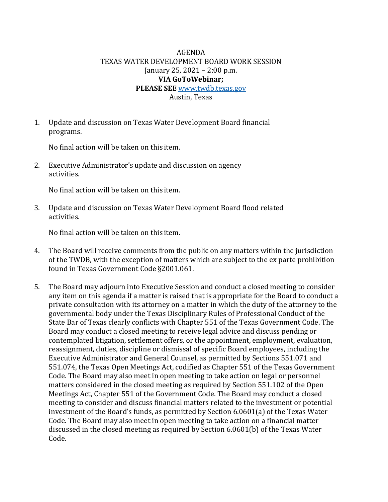## AGENDA TEXAS WATER DEVELOPMENT BOARD WORK SESSION January 25, 2021 – 2:00 p.m. **VIA GoToWebinar; PLEASE SEE** [www.twdb.texas.gov](http://www.twdb.texas.gov/) Austin, Texas

1. Update and discussion on Texas Water Development Board financial programs.

No final action will be taken on this item.

2. Executive Administrator's update and discussion on agency activities.

No final action will be taken on this item.

3. Update and discussion on Texas Water Development Board flood related activities.

No final action will be taken on this item.

- 4. The Board will receive comments from the public on any matters within the jurisdiction of the TWDB, with the exception of matters which are subject to the ex parte prohibition found in Texas Government Code §2001.061.
- 5. The Board may adjourn into Executive Session and conduct a closed meeting to consider any item on this agenda if a matter is raised that is appropriate for the Board to conduct a private consultation with its attorney on a matter in which the duty of the attorney to the governmental body under the Texas Disciplinary Rules of Professional Conduct of the State Bar of Texas clearly conflicts with Chapter 551 of the Texas Government Code. The Board may conduct a closed meeting to receive legal advice and discuss pending or contemplated litigation, settlement offers, or the appointment, employment, evaluation, reassignment, duties, discipline or dismissal of specific Board employees, including the Executive Administrator and General Counsel, as permitted by Sections 551.071 and 551.074, the Texas Open Meetings Act, codified as Chapter 551 of the Texas Government Code. The Board may also meet in open meeting to take action on legal or personnel matters considered in the closed meeting as required by Section 551.102 of the Open Meetings Act, Chapter 551 of the Government Code. The Board may conduct a closed meeting to consider and discuss financial matters related to the investment or potential investment of the Board's funds, as permitted by Section 6.0601(a) of the Texas Water Code. The Board may also meet in open meeting to take action on a financial matter discussed in the closed meeting as required by Section 6.0601(b) of the Texas Water Code.